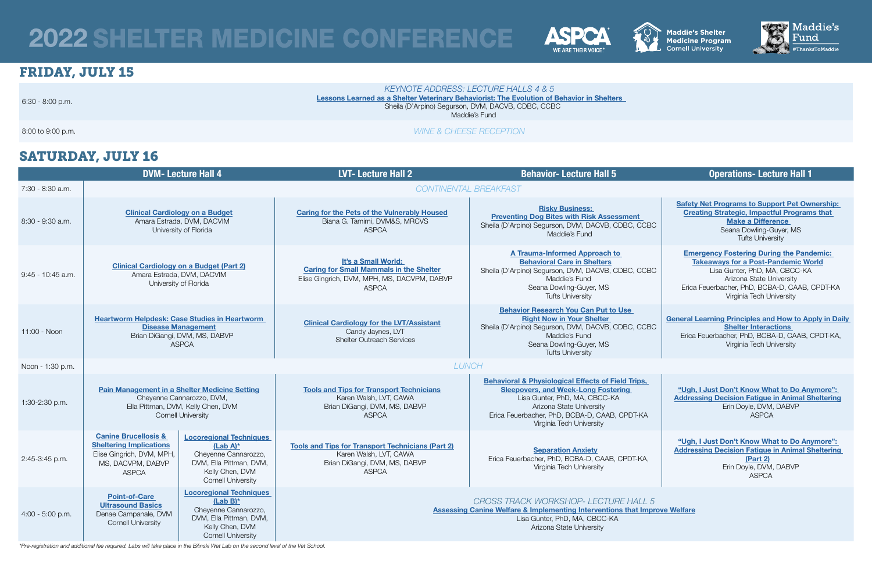# SATURDAY, JULY 16

|                    |                                                                                                                                                      | <b>DVM-Lecture Hall 4</b>                                                                                                                        | <b>LVT-Lecture Hall 2</b>                                                                                                            | <b>Behavior-Lecture Hall 5</b>                                                                                                                                                                                                                        | <b>Operations-Lecture Hall 1</b>                                                                                                                                                                                                        |
|--------------------|------------------------------------------------------------------------------------------------------------------------------------------------------|--------------------------------------------------------------------------------------------------------------------------------------------------|--------------------------------------------------------------------------------------------------------------------------------------|-------------------------------------------------------------------------------------------------------------------------------------------------------------------------------------------------------------------------------------------------------|-----------------------------------------------------------------------------------------------------------------------------------------------------------------------------------------------------------------------------------------|
| 7:30 - 8:30 a.m.   |                                                                                                                                                      |                                                                                                                                                  |                                                                                                                                      | CONTINENTAL BREAKFAST                                                                                                                                                                                                                                 |                                                                                                                                                                                                                                         |
| 8:30 - 9:30 a.m.   |                                                                                                                                                      | <b>Clinical Cardiology on a Budget</b><br>Amara Estrada, DVM, DACVIM<br>University of Florida                                                    | <b>Caring for the Pets of the Vulnerably Housed</b><br>Biana G. Tamimi, DVM&S, MRCVS<br><b>ASPCA</b>                                 | <b>Risky Business:</b><br><b>Preventing Dog Bites with Risk Assessment</b><br>Sheila (D'Arpino) Segurson, DVM, DACVB, CDBC, CCBC<br>Maddie's Fund                                                                                                     | <b>Safety Net Programs to Support Pet Ownership:</b><br><b>Creating Strategic, Impactful Programs that</b><br><b>Make a Difference</b><br>Seana Dowling-Guyer, MS<br><b>Tufts University</b>                                            |
| 9:45 - 10:45 a.m.  | <b>Clinical Cardiology on a Budget (Part 2)</b>                                                                                                      | Amara Estrada, DVM, DACVIM<br>University of Florida                                                                                              | It's a Small World:<br><b>Caring for Small Mammals in the Shelter</b><br>Elise Gingrich, DVM, MPH, MS, DACVPM, DABVP<br><b>ASPCA</b> | <b>A Trauma-Informed Approach to</b><br><b>Behavioral Care in Shelters</b><br>Sheila (D'Arpino) Segurson, DVM, DACVB, CDBC, CCBC<br>Maddie's Fund<br>Seana Dowling-Guyer, MS<br><b>Tufts University</b>                                               | <b>Emergency Fostering During the Pandemic:</b><br><b>Takeaways for a Post-Pandemic World</b><br>Lisa Gunter, PhD, MA, CBCC-KA<br>Arizona State University<br>Erica Feuerbacher, PhD, BCBA-D, CAAB, CPDT-KA<br>Virginia Tech University |
| 11:00 - Noon       |                                                                                                                                                      | <b>Heartworm Helpdesk: Case Studies in Heartworm</b><br><b>Disease Management</b><br>Brian DiGangi, DVM, MS, DABVP<br>ASPCA                      | <b>Clinical Cardiology for the LVT/Assistant</b><br>Candy Jaynes, LVT<br><b>Shelter Outreach Services</b>                            | <b>Behavior Research You Can Put to Use</b><br><b>Right Now in Your Shelter</b><br>Sheila (D'Arpino) Segurson, DVM, DACVB, CDBC, CCBC<br>Maddie's Fund<br>Seana Dowling-Guyer, MS<br><b>Tufts University</b>                                          | <b>General Learning Principles and How to Apply in Daily</b><br><b>Shelter Interactions</b><br>Erica Feuerbacher, PhD, BCBA-D, CAAB, CPDT-KA,<br>Virginia Tech University                                                               |
| Noon - 1:30 p.m.   | <b>LUNCH</b>                                                                                                                                         |                                                                                                                                                  |                                                                                                                                      |                                                                                                                                                                                                                                                       |                                                                                                                                                                                                                                         |
| 1:30-2:30 p.m.     | <b>Pain Management in a Shelter Medicine Setting</b><br>Cheyenne Cannarozzo, DVM,<br>Ella Pittman, DVM, Kelly Chen, DVM<br><b>Cornell University</b> |                                                                                                                                                  | <b>Tools and Tips for Transport Technicians</b><br>Karen Walsh, LVT, CAWA<br>Brian DiGangi, DVM, MS, DABVP<br>ASPCA                  | <b>Behavioral &amp; Physiological Effects of Field Trips,</b><br><b>Sleepovers, and Week-Long Fostering</b><br>Lisa Gunter, PhD, MA, CBCC-KA<br>Arizona State University<br>Erica Feuerbacher, PhD, BCBA-D, CAAB, CPDT-KA<br>Virginia Tech University | "Ugh, I Just Don't Know What to Do Anymore":<br><b>Addressing Decision Fatigue in Animal Sheltering</b><br>Erin Doyle, DVM, DABVP<br><b>ASPCA</b>                                                                                       |
| 2:45-3:45 p.m.     | <b>Canine Brucellosis &amp;</b><br><b>Sheltering Implications</b><br>Elise Gingrich, DVM, MPH,<br>MS, DACVPM, DABVP<br><b>ASPCA</b>                  | <b>Locoregional Techniques</b><br>$(Lab A)^*$<br>Cheyenne Cannarozzo,<br>DVM, Ella Pittman, DVM,<br>Kelly Chen, DVM<br><b>Cornell University</b> | <b>Tools and Tips for Transport Technicians (Part 2)</b><br>Karen Walsh, LVT, CAWA<br>Brian DiGangi, DVM, MS, DABVP<br><b>ASPCA</b>  | <b>Separation Anxiety</b><br>Erica Feuerbacher, PhD, BCBA-D, CAAB, CPDT-KA,<br>Virginia Tech University                                                                                                                                               | "Ugh, I Just Don't Know What to Do Anymore":<br><b>Addressing Decision Fatigue in Animal Sheltering</b><br><b>(Part 2)</b><br>Erin Doyle, DVM, DABVP<br><b>ASPCA</b>                                                                    |
| $4:00 - 5:00$ p.m. | <b>Point-of-Care</b><br><b>Ultrasound Basics</b><br>Denae Campanale, DVM<br><b>Cornell University</b>                                                | <b>Locoregional Techniques</b><br>$(Lab B)^*$<br>Cheyenne Cannarozzo,<br>DVM, Ella Pittman, DVM,<br>Kelly Chen, DVM<br><b>Cornell University</b> |                                                                                                                                      | CROSS TRACK WORKSHOP- LECTURE HALL 5<br><b>Assessing Canine Welfare &amp; Implementing Interventions that Improve Welfare</b><br>Lisa Gunter, PhD, MA, CBCC-KA<br>Arizona State University                                                            |                                                                                                                                                                                                                                         |

# <span id="page-0-0"></span>2022 SHELTER MEDICINE CONFERENCE



# FRIDAY, JULY 15

6:30 - 8:00 p.m.

# *[KEYNOTE ADDRESS: LECTURE HALLS 4 & 5](#page-2-0)*

[Lessons Learned as a Shelter Veterinary Behaviorist: The Evolution of Behavior in Shelters](#page-2-0)  Sheila (D'Arpino) Segurson, DVM, DACVB, CDBC, CCBC Maddie's Fund

### 8:00 to 9:00 p.m. *WINE & CHEESE RECEPTION*

*\*Pre-registration and additional fee required. Labs will take place in the Bilinski Wet Lab on the second level of the Vet School.* 



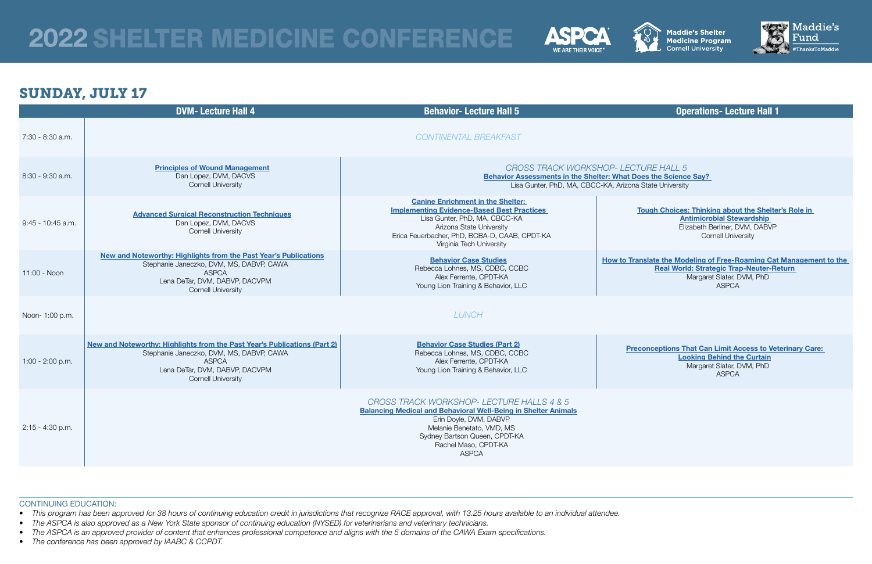# <span id="page-1-0"></span>2022 SHELTER MEDICINE CONFERENCE



# SUNDAY, JULY 17

*CROSS TRACK WORKSHOP- LECTURE HALL 5* es the Science Say? State University

ough Choices: Thinking about the Shelter's Role in [Antimicrobial Stewardship](#page-10-2)  Elizabeth Berliner, DVM, DABVP Cornell University

**Instate the Modeling of Free-Roaming Cat Management to the** [Real World: Strategic Trap-Neuter-Return](#page-11-1)  Margaret Slater, DVM, PhD ASPCA

onceptions That Can Limit Access to Veterinary Care: [Looking Behind the Curtain](#page-12-0) Margaret Slater, DVM, PhD ASPCA

|                     | <b>DVM-Lecture Hall 4</b>                                                                                                                                                                            | <b>Behavior-Lecture Hall 5</b>                                                                                                                                                                                                                     |                    |  |
|---------------------|------------------------------------------------------------------------------------------------------------------------------------------------------------------------------------------------------|----------------------------------------------------------------------------------------------------------------------------------------------------------------------------------------------------------------------------------------------------|--------------------|--|
| 7:30 - 8:30 a.m.    |                                                                                                                                                                                                      | <b>CONTINENTAL BREAKFAST</b>                                                                                                                                                                                                                       |                    |  |
| 8:30 - 9:30 a.m.    | <b>Principles of Wound Management</b><br>Dan Lopez, DVM, DACVS<br><b>Cornell University</b>                                                                                                          | <b>CROSS TRACK WORKSHOP- LECTU</b><br><b>Behavior Assessments in the Shelter: What Doo</b><br>Lisa Gunter, PhD, MA, CBCC-KA, Arizona 9                                                                                                             |                    |  |
| $9:45 - 10:45$ a.m. | <b>Advanced Surgical Reconstruction Techniques</b><br>Dan Lopez, DVM, DACVS<br><b>Cornell University</b>                                                                                             | <b>Canine Enrichment in the Shelter:</b><br><b>Implementing Evidence-Based Best Practices</b><br>Lisa Gunter, PhD, MA, CBCC-KA<br>Arizona State University<br>Erica Feuerbacher, PhD, BCBA-D, CAAB, CPDT-KA<br>Virginia Tech University            | $\mathbf{I}$       |  |
| 11:00 - Noon        | New and Noteworthy: Highlights from the Past Year's Publications<br>Stephanie Janeczko, DVM, MS, DABVP, CAWA<br><b>ASPCA</b><br>Lena DeTar, DVM, DABVP, DACVPM<br><b>Cornell University</b>          | <b>Behavior Case Studies</b><br>Rebecca Lohnes, MS, CDBC, CCBC<br>Alex Ferrente, CPDT-KA<br>Young Lion Training & Behavior, LLC                                                                                                                    | <b>How to Tran</b> |  |
| Noon- 1:00 p.m.     |                                                                                                                                                                                                      | <b>LUNCH</b>                                                                                                                                                                                                                                       |                    |  |
| $1:00 - 2:00$ p.m.  | New and Noteworthy: Highlights from the Past Year's Publications (Part 2)<br>Stephanie Janeczko, DVM, MS, DABVP, CAWA<br><b>ASPCA</b><br>Lena DeTar, DVM, DABVP, DACVPM<br><b>Cornell University</b> | <b>Behavior Case Studies (Part 2)</b><br>Rebecca Lohnes, MS, CDBC, CCBC<br>Alex Ferrente, CPDT-KA<br>Young Lion Training & Behavior, LLC                                                                                                           | <b>Prec</b>        |  |
| 2:15 - 4:30 p.m.    |                                                                                                                                                                                                      | CROSS TRACK WORKSHOP- LECTURE HALLS 4 & 5<br><b>Balancing Medical and Behavioral Well-Being in Shelter Animals</b><br>Erin Doyle, DVM, DABVP<br>Melanie Benetato, VMD, MS<br>Sydney Bartson Queen, CPDT-KA<br>Rachel Maso, CPDT-KA<br><b>ASPCA</b> |                    |  |

- This program has been approved for 38 hours of continuing education credit in jurisdictions that recognize RACE approval, with 13.25 hours available to an individual attendee.
- *• The ASPCA is also approved as a New York State sponsor of continuing education (NYSED) for veterinarians and veterinary technicians.*
- *• The ASPCA is an approved provider of content that enhances professional competence and aligns with the 5 domains of the CAWA Exam specifications.*
- *• The conference has been approved by IAABC & CCPDT.*





# **Operations- Lecture Hall 1**

#### CONTINUING EDUCATION: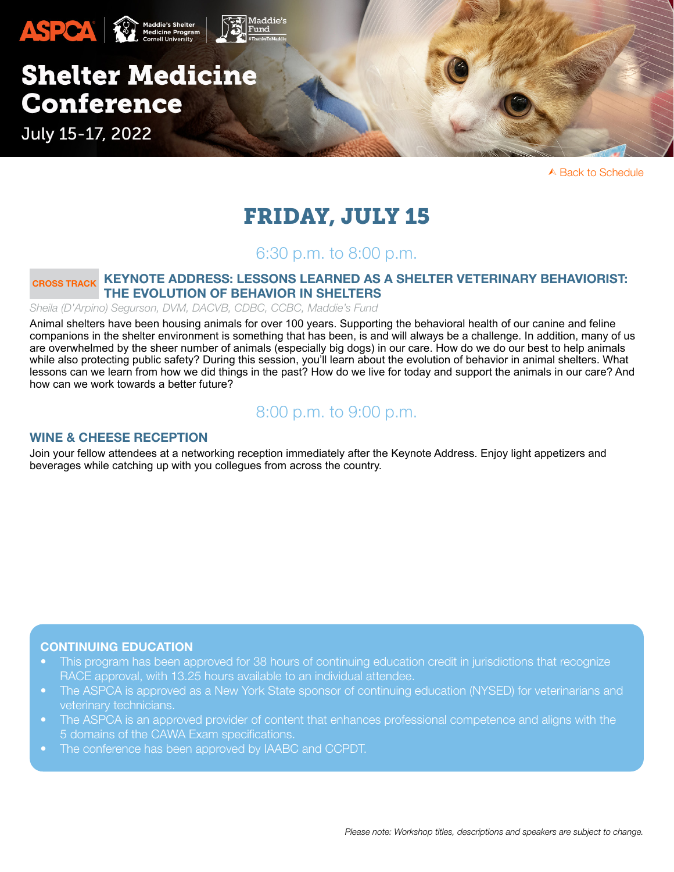

# FRIDAY, JULY 15

# 6:30 p.m. to 8:00 p.m.

# <span id="page-2-0"></span>CROSS TRACK KEYNOTE ADDRESS: LESSONS LEARNED AS A SHELTER VETERINARY BEHAVIORIST: THE EVOLUTION OF BEHAVIOR IN SHELTERS

*Sheila (D'Arpino) Segurson, DVM, DACVB, CDBC, CCBC, Maddie's Fund*

Animal shelters have been housing animals for over 100 years. Supporting the behavioral health of our canine and feline companions in the shelter environment is something that has been, is and will always be a challenge. In addition, many of us are overwhelmed by the sheer number of animals (especially big dogs) in our care. How do we do our best to help animals while also protecting public safety? During this session, you'll learn about the evolution of behavior in animal shelters. What lessons can we learn from how we did things in the past? How do we live for today and support the animals in our care? And how can we work towards a better future?

# 8:00 p.m. to 9:00 p.m.

#### WINE & CHEESE RECEPTION

Join your fellow attendees at a networking reception immediately after the Keynote Address. Enjoy light appetizers and beverages while catching up with you collegues from across the country.

#### CONTINUING EDUCATION

- This program has been approved for 38 hours of continuing education credit in jurisdictions that recognize RACE approval, with 13.25 hours available to an individual attendee.
- The ASPCA is approved as a New York State sponsor of continuing education (NYSED) for veterinarians and veterinary technicians.
- The ASPCA is an approved provider of content that enhances professional competence and aligns with the 5 domains of the CAWA Exam specifications.
- The conference has been approved by IAABC and CCPDT.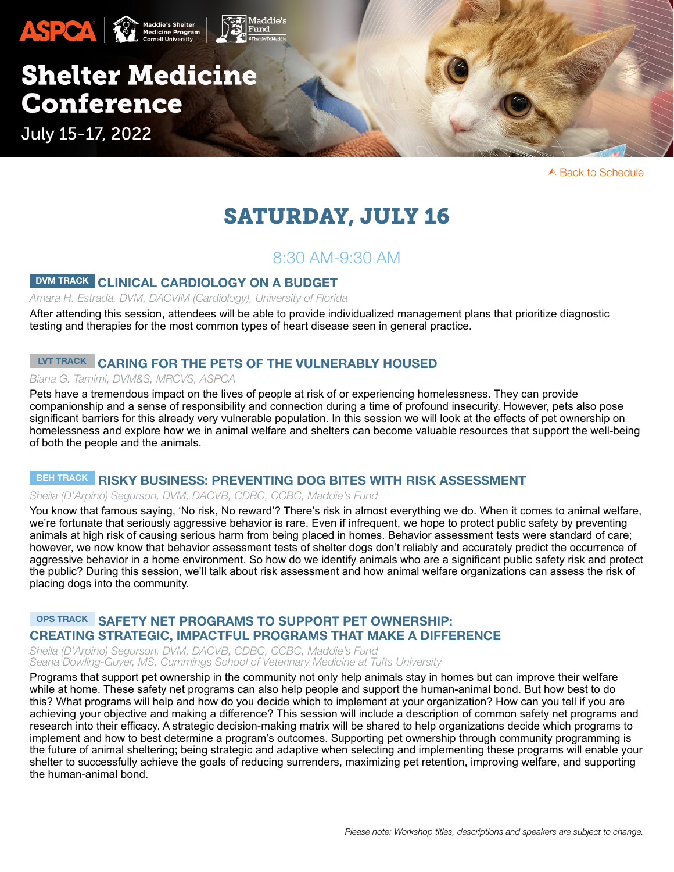

# SATURDAY, JULY 16

# 8:30 AM-9:30 AM

# <span id="page-3-0"></span>DVM TRACK CLINICAL CARDIOLOGY ON A BUDGET

*Amara H. Estrada, DVM, DACVIM (Cardiology), University of Florida*

After attending this session, attendees will be able to provide individualized management plans that prioritize diagnostic testing and therapies for the most common types of heart disease seen in general practice.

# <span id="page-3-1"></span>LVT TRACK CARING FOR THE PETS OF THE VULNERABLY HOUSED

#### *Biana G. Tamimi, DVM&S, MRCVS, ASPCA*

Pets have a tremendous impact on the lives of people at risk of or experiencing homelessness. They can provide companionship and a sense of responsibility and connection during a time of profound insecurity. However, pets also pose significant barriers for this already very vulnerable population. In this session we will look at the effects of pet ownership on homelessness and explore how we in animal welfare and shelters can become valuable resources that support the well-being of both the people and the animals.

### <span id="page-3-2"></span>BEH TRACK RISKY BUSINESS: PREVENTING DOG BITES WITH RISK ASSESSMENT

#### *Sheila (D'Arpino) Segurson, DVM, DACVB, CDBC, CCBC, Maddie's Fund*

You know that famous saying, 'No risk, No reward'? There's risk in almost everything we do. When it comes to animal welfare, we're fortunate that seriously aggressive behavior is rare. Even if infrequent, we hope to protect public safety by preventing animals at high risk of causing serious harm from being placed in homes. Behavior assessment tests were standard of care; however, we now know that behavior assessment tests of shelter dogs don't reliably and accurately predict the occurrence of aggressive behavior in a home environment. So how do we identify animals who are a significant public safety risk and protect the public? During this session, we'll talk about risk assessment and how animal welfare organizations can assess the risk of placing dogs into the community.

### <span id="page-3-3"></span>OPS TRACK SAFETY NET PROGRAMS TO SUPPORT PET OWNERSHIP: CREATING STRATEGIC, IMPACTFUL PROGRAMS THAT MAKE A DIFFERENCE

*Sheila (D'Arpino) Segurson, DVM, DACVB, CDBC, CCBC, Maddie's Fund Seana Dowling-Guyer, MS, Cummings School of Veterinary Medicine at Tufts University*

Programs that support pet ownership in the community not only help animals stay in homes but can improve their welfare while at home. These safety net programs can also help people and support the human-animal bond. But how best to do this? What programs will help and how do you decide which to implement at your organization? How can you tell if you are achieving your objective and making a difference? This session will include a description of common safety net programs and research into their efficacy. A strategic decision-making matrix will be shared to help organizations decide which programs to implement and how to best determine a program's outcomes. Supporting pet ownership through community programming is the future of animal sheltering; being strategic and adaptive when selecting and implementing these programs will enable your shelter to successfully achieve the goals of reducing surrenders, maximizing pet retention, improving welfare, and supporting the human-animal bond.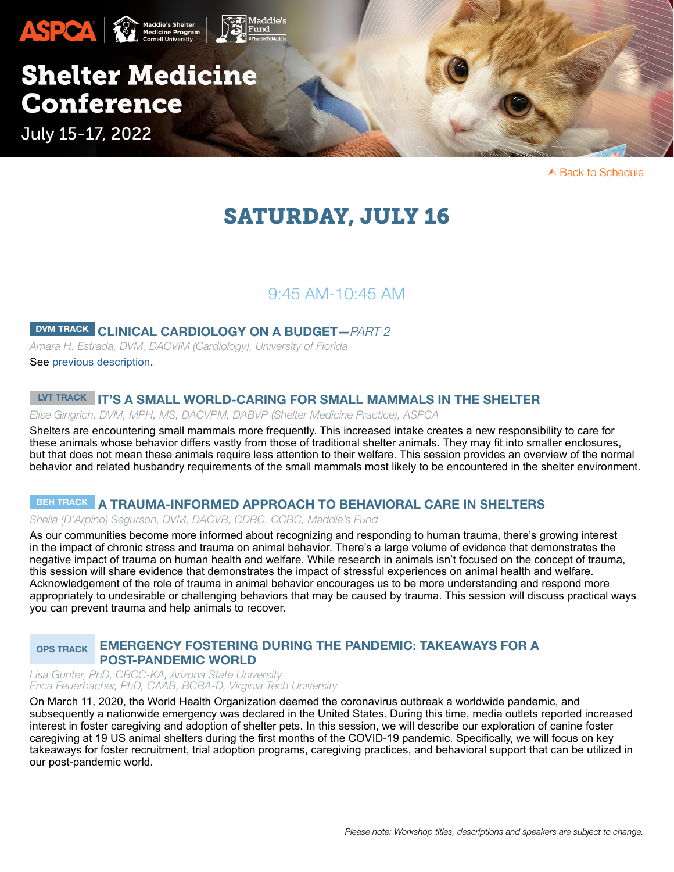

# SATURDAY, JULY 16

# 9:45 AM-10:45 AM

# DVM TRACK CLINICAL CARDIOLOGY ON A BUDGET—*PART 2*

*Amara H. Estrada, DVM, DACVIM (Cardiology), University of Florida* See [previous description.](#page-3-0)

# LUT TRACK IT'S A SMALL WORLD-CARING FOR SMALL MAMMALS IN THE SHELTER

*Elise Gingrich, DVM, MPH, MS, DACVPM, DABVP (Shelter Medicine Practice), ASPCA*

Shelters are encountering small mammals more frequently. This increased intake creates a new responsibility to care for these animals whose behavior differs vastly from those of traditional shelter animals. They may fit into smaller enclosures, but that does not mean these animals require less attention to their welfare. This session provides an overview of the normal behavior and related husbandry requirements of the small mammals most likely to be encountered in the shelter environment.

## <span id="page-4-0"></span>BEH TRACK A TRAUMA-INFORMED APPROACH TO BEHAVIORAL CARE IN SHELTERS

*Sheila (D'Arpino) Segurson, DVM, DACVB, CDBC, CCBC, Maddie's Fund*

As our communities become more informed about recognizing and responding to human trauma, there's growing interest in the impact of chronic stress and trauma on animal behavior. There's a large volume of evidence that demonstrates the negative impact of trauma on human health and welfare. While research in animals isn't focused on the concept of trauma, this session will share evidence that demonstrates the impact of stressful experiences on animal health and welfare. Acknowledgement of the role of trauma in animal behavior encourages us to be more understanding and respond more appropriately to undesirable or challenging behaviors that may be caused by trauma. This session will discuss practical ways you can prevent trauma and help animals to recover.

#### <span id="page-4-1"></span>OPS TRACK EMERGENCY FOSTERING DURING THE PANDEMIC: TAKEAWAYS FOR A POST-PANDEMIC WORLD

*Lisa Gunter, PhD, CBCC-KA, Arizona State University Erica Feuerbacher, PhD, CAAB, BCBA-D, Virginia Tech University* 

On March 11, 2020, the World Health Organization deemed the coronavirus outbreak a worldwide pandemic, and subsequently a nationwide emergency was declared in the United States. During this time, media outlets reported increased interest in foster caregiving and adoption of shelter pets. In this session, we will describe our exploration of canine foster caregiving at 19 US animal shelters during the first months of the COVID-19 pandemic. Specifically, we will focus on key takeaways for foster recruitment, trial adoption programs, caregiving practices, and behavioral support that can be utilized in our post-pandemic world.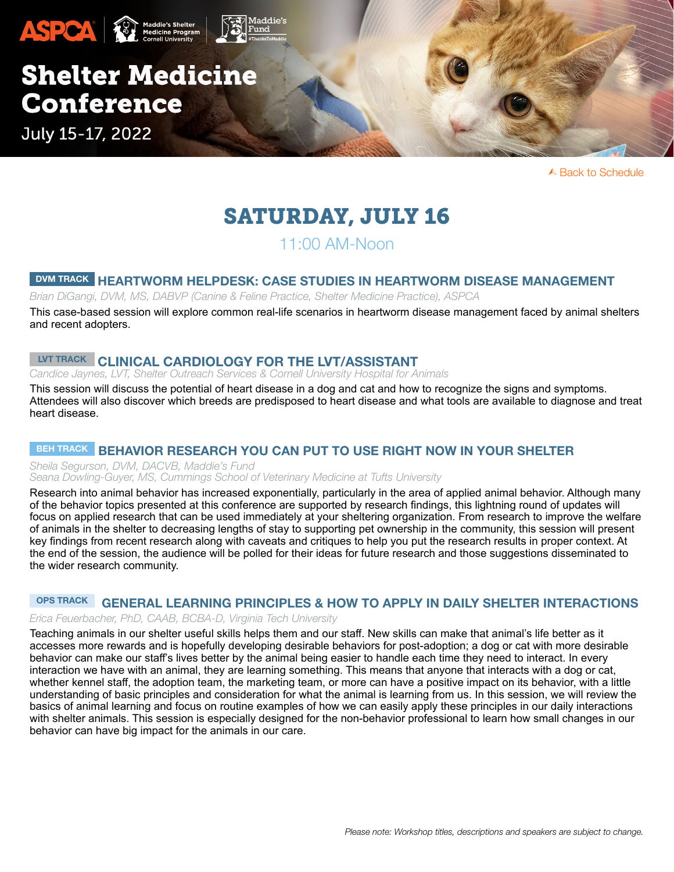

# SATURDAY, JULY 16

# 11:00 AM-Noon

### <span id="page-5-0"></span>DVM TRACK HEARTWORM HELPDESK: CASE STUDIES IN HEARTWORM DISEASE MANAGEMENT

*Brian DiGangi, DVM, MS, DABVP (Canine & Feline Practice, Shelter Medicine Practice), ASPCA*

This case-based session will explore common real-life scenarios in heartworm disease management faced by animal shelters and recent adopters.

# <span id="page-5-1"></span>LVT TRACK CLINICAL CARDIOLOGY FOR THE LVT/ASSISTANT

*Candice Jaynes, LVT, Shelter Outreach Services & Cornell University Hospital for Animals*

This session will discuss the potential of heart disease in a dog and cat and how to recognize the signs and symptoms. Attendees will also discover which breeds are predisposed to heart disease and what tools are available to diagnose and treat heart disease.

# <span id="page-5-2"></span>BEH TRACK BEHAVIOR RESEARCH YOU CAN PUT TO USE RIGHT NOW IN YOUR SHELTER

*Sheila Segurson, DVM, DACVB, Maddie's Fund*

#### *Seana Dowling-Guyer, MS, Cummings School of Veterinary Medicine at Tufts University*

Research into animal behavior has increased exponentially, particularly in the area of applied animal behavior. Although many of the behavior topics presented at this conference are supported by research findings, this lightning round of updates will focus on applied research that can be used immediately at your sheltering organization. From research to improve the welfare of animals in the shelter to decreasing lengths of stay to supporting pet ownership in the community, this session will present key findings from recent research along with caveats and critiques to help you put the research results in proper context. At the end of the session, the audience will be polled for their ideas for future research and those suggestions disseminated to the wider research community.

# <span id="page-5-3"></span>OPS TRACK GENERAL LEARNING PRINCIPLES & HOW TO APPLY IN DAILY SHELTER INTERACTIONS

#### *Erica Feuerbacher, PhD, CAAB, BCBA-D, Virginia Tech University*

Teaching animals in our shelter useful skills helps them and our staff. New skills can make that animal's life better as it accesses more rewards and is hopefully developing desirable behaviors for post-adoption; a dog or cat with more desirable behavior can make our staff's lives better by the animal being easier to handle each time they need to interact. In every interaction we have with an animal, they are learning something. This means that anyone that interacts with a dog or cat, whether kennel staff, the adoption team, the marketing team, or more can have a positive impact on its behavior, with a little understanding of basic principles and consideration for what the animal is learning from us. In this session, we will review the basics of animal learning and focus on routine examples of how we can easily apply these principles in our daily interactions with shelter animals. This session is especially designed for the non-behavior professional to learn how small changes in our behavior can have big impact for the animals in our care.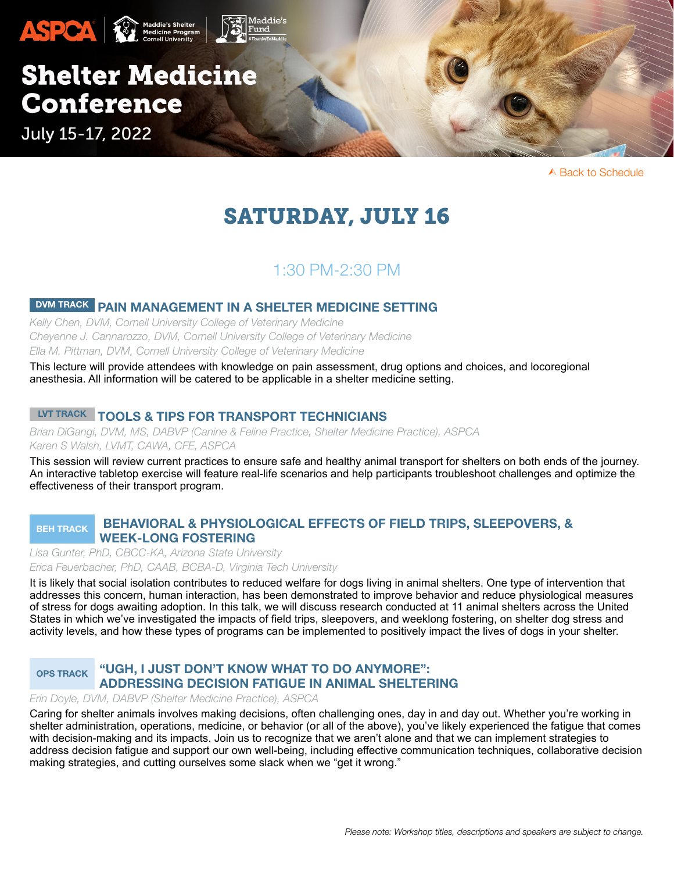

# SATURDAY, JULY 16

# 1:30 PM-2:30 PM

# <span id="page-6-0"></span>DVM TRACK PAIN MANAGEMENT IN A SHELTER MEDICINE SETTING

*Kelly Chen, DVM, Cornell University College of Veterinary Medicine Cheyenne J. Cannarozzo, DVM, Cornell University College of Veterinary Medicine Ella M. Pittman, DVM, Cornell University College of Veterinary Medicine* 

This lecture will provide attendees with knowledge on pain assessment, drug options and choices, and locoregional anesthesia. All information will be catered to be applicable in a shelter medicine setting.

# <span id="page-6-1"></span>LVT TRACK TOOLS & TIPS FOR TRANSPORT TECHNICIANS

*Brian DiGangi, DVM, MS, DABVP (Canine & Feline Practice, Shelter Medicine Practice), ASPCA Karen S Walsh, LVMT, CAWA, CFE, ASPCA*

This session will review current practices to ensure safe and healthy animal transport for shelters on both ends of the journey. An interactive tabletop exercise will feature real-life scenarios and help participants troubleshoot challenges and optimize the effectiveness of their transport program.

#### <span id="page-6-2"></span>BEH TRACK BEHAVIORAL & PHYSIOLOGICAL EFFECTS OF FIELD TRIPS, SLEEPOVERS, & WEEK-LONG FOSTERING

*Lisa Gunter, PhD, CBCC-KA, Arizona State University Erica Feuerbacher, PhD, CAAB, BCBA-D, Virginia Tech University* 

It is likely that social isolation contributes to reduced welfare for dogs living in animal shelters. One type of intervention that addresses this concern, human interaction, has been demonstrated to improve behavior and reduce physiological measures of stress for dogs awaiting adoption. In this talk, we will discuss research conducted at 11 animal shelters across the United States in which we've investigated the impacts of field trips, sleepovers, and weeklong fostering, on shelter dog stress and activity levels, and how these types of programs can be implemented to positively impact the lives of dogs in your shelter.

#### <span id="page-6-3"></span>OPS TRACK "UGH, I JUST DON'T KNOW WHAT TO DO ANYMORE": ADDRESSING DECISION FATIGUE IN ANIMAL SHELTERING

#### *Erin Doyle, DVM, DABVP (Shelter Medicine Practice), ASPCA*

Caring for shelter animals involves making decisions, often challenging ones, day in and day out. Whether you're working in shelter administration, operations, medicine, or behavior (or all of the above), you've likely experienced the fatigue that comes with decision-making and its impacts. Join us to recognize that we aren't alone and that we can implement strategies to address decision fatigue and support our own well-being, including effective communication techniques, collaborative decision making strategies, and cutting ourselves some slack when we "get it wrong."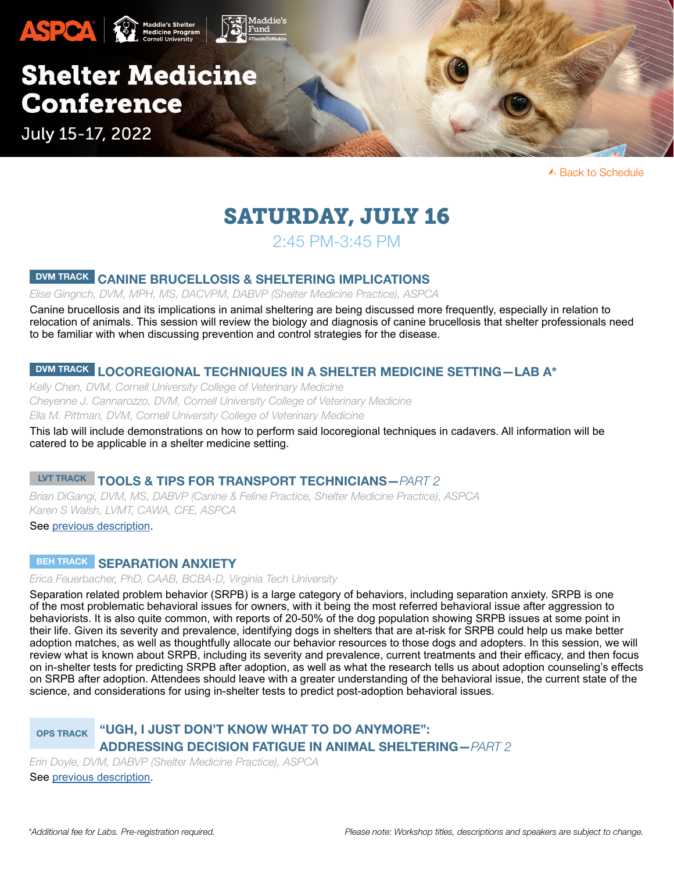

# SATURDAY, JULY 16

# 2:45 PM-3:45 PM

# <span id="page-7-0"></span>DVM TRACK CANINE BRUCELLOSIS & SHELTERING IMPLICATIONS

*Elise Gingrich, DVM, MPH, MS, DACVPM, DABVP (Shelter Medicine Practice), ASPCA*

Canine brucellosis and its implications in animal sheltering are being discussed more frequently, especially in relation to relocation of animals. This session will review the biology and diagnosis of canine brucellosis that shelter professionals need to be familiar with when discussing prevention and control strategies for the disease.

# DVM TRACK LOCOREGIONAL TECHNIQUES IN A SHELTER MEDICINE SETTING-LAB A\*

*Kelly Chen, DVM, Cornell University College of Veterinary Medicine Cheyenne J. Cannarozzo, DVM, Cornell University College of Veterinary Medicine Ella M. Pittman, DVM, Cornell University College of Veterinary Medicine* 

This lab will include demonstrations on how to perform said locoregional techniques in cadavers. All information will be catered to be applicable in a shelter medicine setting.

# LVT TRACK TOOLS & TIPS FOR TRANSPORT TECHNICIANS—*PART 2*

*Brian DiGangi, DVM, MS, DABVP (Canine & Feline Practice, Shelter Medicine Practice), ASPCA Karen S Walsh, LVMT, CAWA, CFE, ASPCA*

See [previous description.](#page-6-1)

### <span id="page-7-1"></span>BEH TRACK SEPARATION ANXIETY

*Erica Feuerbacher, PhD, CAAB, BCBA-D, Virginia Tech University*

Separation related problem behavior (SRPB) is a large category of behaviors, including separation anxiety. SRPB is one of the most problematic behavioral issues for owners, with it being the most referred behavioral issue after aggression to behaviorists. It is also quite common, with reports of 20-50% of the dog population showing SRPB issues at some point in their life. Given its severity and prevalence, identifying dogs in shelters that are at-risk for SRPB could help us make better adoption matches, as well as thoughtfully allocate our behavior resources to those dogs and adopters. In this session, we will review what is known about SRPB, including its severity and prevalence, current treatments and their efficacy, and then focus on in-shelter tests for predicting SRPB after adoption, as well as what the research tells us about adoption counseling's effects on SRPB after adoption. Attendees should leave with a greater understanding of the behavioral issue, the current state of the science, and considerations for using in-shelter tests to predict post-adoption behavioral issues.

# OPS TRACK "UGH, I JUST DON'T KNOW WHAT TO DO ANYMORE": ADDRESSING DECISION FATIGUE IN ANIMAL SHELTERING—*PART 2*

*Erin Doyle, DVM, DABVP (Shelter Medicine Practice), ASPCA*

See previous description.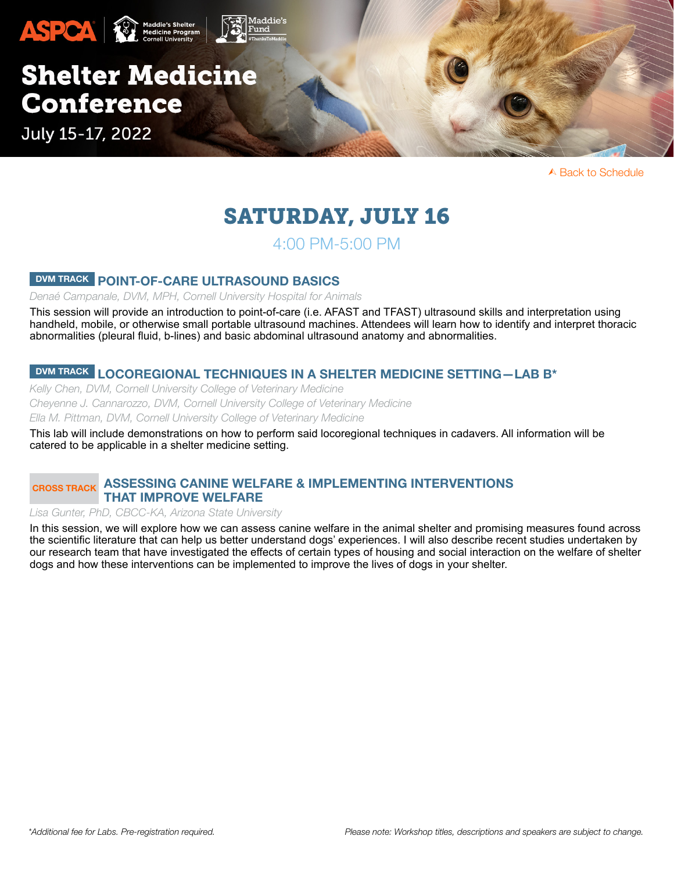

# <span id="page-8-0"></span>SATURDAY, JULY 16

4:00 PM-5:00 PM

# DVM TRACK POINT-OF-CARE ULTRASOUND BASICS

*Denaé Campanale, DVM, MPH, Cornell University Hospital for Animals* 

This session will provide an introduction to point-of-care (i.e. AFAST and TFAST) ultrasound skills and interpretation using handheld, mobile, or otherwise small portable ultrasound machines. Attendees will learn how to identify and interpret thoracic abnormalities (pleural fluid, b-lines) and basic abdominal ultrasound anatomy and abnormalities.

### DVM TRACK LOCOREGIONAL TECHNIQUES IN A SHELTER MEDICINE SETTING-LAB B\*

*Kelly Chen, DVM, Cornell University College of Veterinary Medicine Cheyenne J. Cannarozzo, DVM, Cornell University College of Veterinary Medicine Ella M. Pittman, DVM, Cornell University College of Veterinary Medicine* 

This lab will include demonstrations on how to perform said locoregional techniques in cadavers. All information will be catered to be applicable in a shelter medicine setting.

# <span id="page-8-1"></span>CROSS TRACK ASSESSING CANINE WELFARE & IMPLEMENTING INTERVENTIONS THAT IMPROVE WELFARE

#### *Lisa Gunter, PhD, CBCC-KA, Arizona State University*

In this session, we will explore how we can assess canine welfare in the animal shelter and promising measures found across the scientific literature that can help us better understand dogs' experiences. I will also describe recent studies undertaken by our research team that have investigated the effects of certain types of housing and social interaction on the welfare of shelter dogs and how these interventions can be implemented to improve the lives of dogs in your shelter.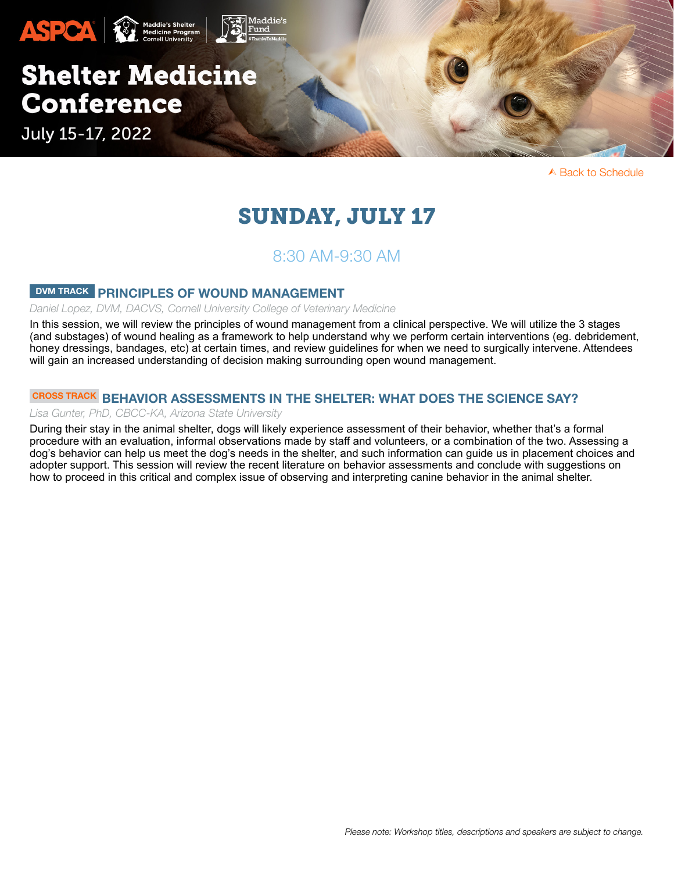

# SUNDAY, JULY 17

# 8:30 AM-9:30 AM

### <span id="page-9-0"></span>DVM TRACK PRINCIPLES OF WOUND MANAGEMENT

#### *Daniel Lopez, DVM, DACVS, Cornell University College of Veterinary Medicine*

In this session, we will review the principles of wound management from a clinical perspective. We will utilize the 3 stages (and substages) of wound healing as a framework to help understand why we perform certain interventions (eg. debridement, honey dressings, bandages, etc) at certain times, and review guidelines for when we need to surgically intervene. Attendees will gain an increased understanding of decision making surrounding open wound management.

# <span id="page-9-1"></span>CROSS TRACK BEHAVIOR ASSESSMENTS IN THE SHELTER: WHAT DOES THE SCIENCE SAY?

#### *Lisa Gunter, PhD, CBCC-KA, Arizona State University*

During their stay in the animal shelter, dogs will likely experience assessment of their behavior, whether that's a formal procedure with an evaluation, informal observations made by staff and volunteers, or a combination of the two. Assessing a dog's behavior can help us meet the dog's needs in the shelter, and such information can guide us in placement choices and adopter support. This session will review the recent literature on behavior assessments and conclude with suggestions on how to proceed in this critical and complex issue of observing and interpreting canine behavior in the animal shelter.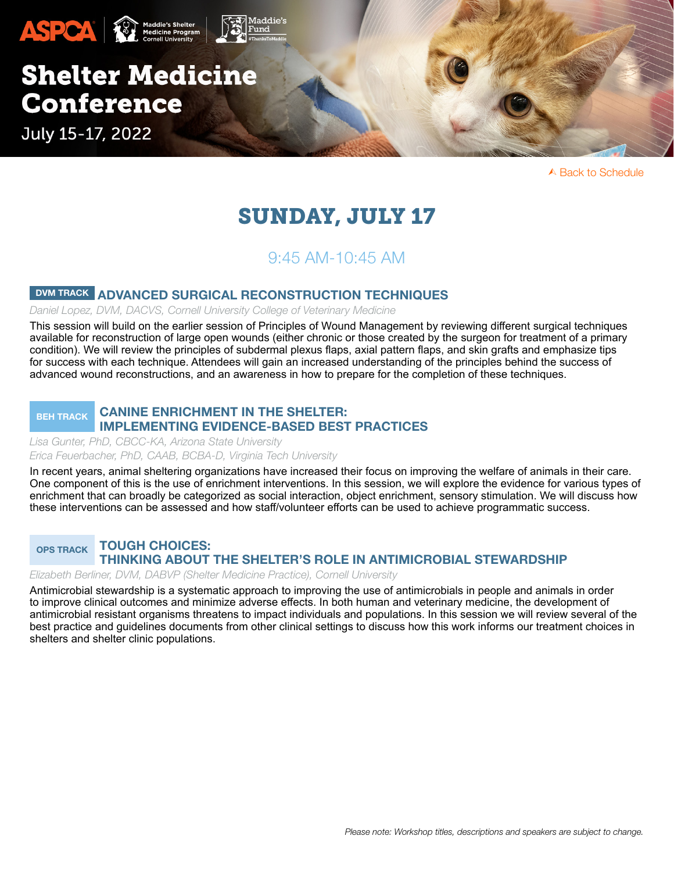

# SUNDAY, JULY 17

# 9:45 AM-10:45 AM

# <span id="page-10-0"></span>DVM TRACK ADVANCED SURGICAL RECONSTRUCTION TECHNIQUES

*Daniel Lopez, DVM, DACVS, Cornell University College of Veterinary Medicine*

This session will build on the earlier session of Principles of Wound Management by reviewing different surgical techniques available for reconstruction of large open wounds (either chronic or those created by the surgeon for treatment of a primary condition). We will review the principles of subdermal plexus flaps, axial pattern flaps, and skin grafts and emphasize tips for success with each technique. Attendees will gain an increased understanding of the principles behind the success of advanced wound reconstructions, and an awareness in how to prepare for the completion of these techniques.

#### <span id="page-10-1"></span>BEH TRACK CANINE ENRICHMENT IN THE SHELTER: IMPLEMENTING EVIDENCE-BASED BEST PRACTICES

*Lisa Gunter, PhD, CBCC-KA, Arizona State University Erica Feuerbacher, PhD, CAAB, BCBA-D, Virginia Tech University* 

In recent years, animal sheltering organizations have increased their focus on improving the welfare of animals in their care. One component of this is the use of enrichment interventions. In this session, we will explore the evidence for various types of enrichment that can broadly be categorized as social interaction, object enrichment, sensory stimulation. We will discuss how these interventions can be assessed and how staff/volunteer efforts can be used to achieve programmatic success.

<span id="page-10-2"></span>OPS TRACK TOUGH CHOICES: THINKING ABOUT THE SHELTER'S ROLE IN ANTIMICROBIAL STEWARDSHIP

*Elizabeth Berliner, DVM, DABVP (Shelter Medicine Practice), Cornell University* 

Antimicrobial stewardship is a systematic approach to improving the use of antimicrobials in people and animals in order to improve clinical outcomes and minimize adverse effects. In both human and veterinary medicine, the development of antimicrobial resistant organisms threatens to impact individuals and populations. In this session we will review several of the best practice and guidelines documents from other clinical settings to discuss how this work informs our treatment choices in shelters and shelter clinic populations.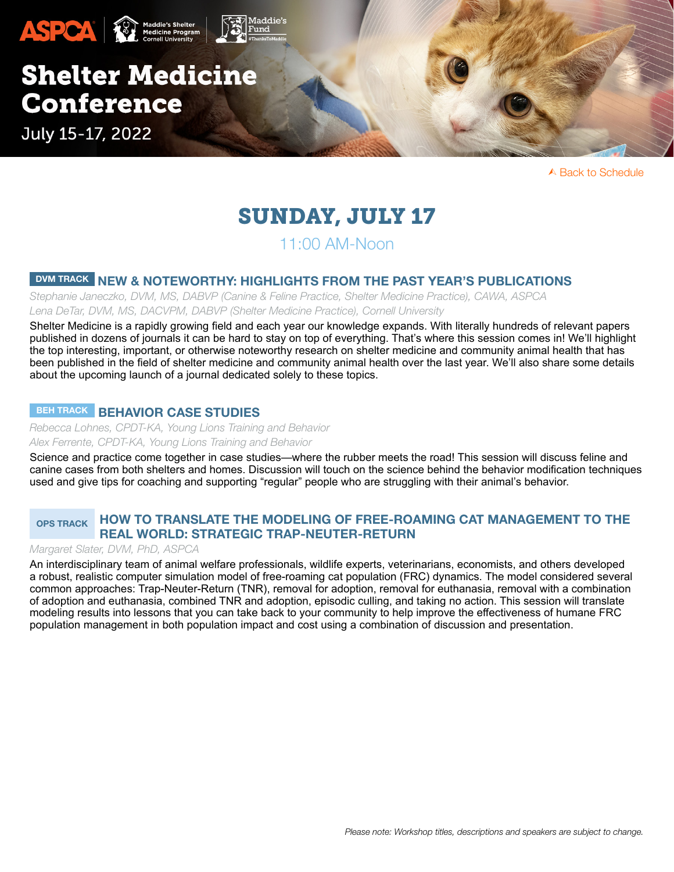

# SUNDAY, JULY 17

# 11:00 AM-Noon

### DVM TRACK NEW & NOTEWORTHY: HIGHLIGHTS FROM THE PAST YEAR'S PUBLICATIONS

*Stephanie Janeczko, DVM, MS, DABVP (Canine & Feline Practice, Shelter Medicine Practice), CAWA, ASPCA Lena DeTar, DVM, MS, DACVPM, DABVP (Shelter Medicine Practice), Cornell University*

Shelter Medicine is a rapidly growing field and each year our knowledge expands. With literally hundreds of relevant papers published in dozens of journals it can be hard to stay on top of everything. That's where this session comes in! We'll highlight the top interesting, important, or otherwise noteworthy research on shelter medicine and community animal health that has been published in the field of shelter medicine and community animal health over the last year. We'll also share some details about the upcoming launch of a journal dedicated solely to these topics.

### <span id="page-11-0"></span>BEH TRACK BEHAVIOR CASE STUDIES

*Rebecca Lohnes, CPDT-KA, Young Lions Training and Behavior Alex Ferrente, CPDT-KA, Young Lions Training and Behavior*

Science and practice come together in case studies—where the rubber meets the road! This session will discuss feline and canine cases from both shelters and homes. Discussion will touch on the science behind the behavior modification techniques used and give tips for coaching and supporting "regular" people who are struggling with their animal's behavior.

### <span id="page-11-1"></span>OPS TRACK HOW TO TRANSLATE THE MODELING OF FREE-ROAMING CAT MANAGEMENT TO THE REAL WORLD: STRATEGIC TRAP-NEUTER-RETURN

#### *Margaret Slater, DVM, PhD, ASPCA*

An interdisciplinary team of animal welfare professionals, wildlife experts, veterinarians, economists, and others developed a robust, realistic computer simulation model of free-roaming cat population (FRC) dynamics. The model considered several common approaches: Trap-Neuter-Return (TNR), removal for adoption, removal for euthanasia, removal with a combination of adoption and euthanasia, combined TNR and adoption, episodic culling, and taking no action. This session will translate modeling results into lessons that you can take back to your community to help improve the effectiveness of humane FRC population management in both population impact and cost using a combination of discussion and presentation.